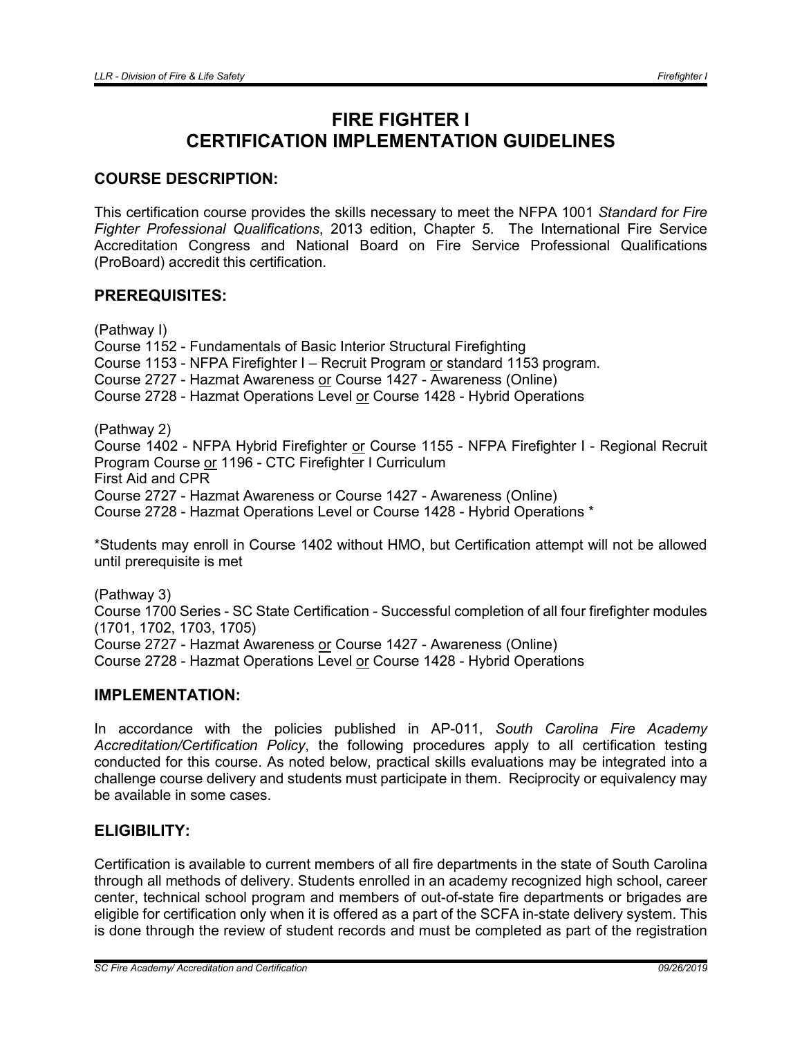# FIRE FIGHTER I CERTIFICATION IMPLEMENTATION GUIDELINES

# COURSE DESCRIPTION:

This certification course provides the skills necessary to meet the NFPA 1001 *Standard for Fire Fighter Professional Qualifications*, 2013 edition, Chapter 5. The International Fire Service Accreditation Congress and National Board on Fire Service Professional Qualifications (ProBoard) accredit this certification.

# PREREQUISITES:

(Pathway I) Course 1152 - Fundamentals of Basic Interior Structural Firefighting Course 1153 - NFPA Firefighter I – Recruit Program or standard 1153 program. Course 2727 - Hazmat Awareness or Course 1427 - Awareness (Online) Course 2728 - Hazmat Operations Level or Course 1428 - Hybrid Operations (Pathway 2) Course 1402 - NFPA Hybrid Firefighter or Course 1155 - NFPA Firefighter I - Regional Recruit Program Course or 1196 - CTC Firefighter I Curriculum First Aid and CPR Course 2727 - Hazmat Awareness or Course 1427 - Awareness (Online) Course 2728 - Hazmat Operations Level or Course 1428 - Hybrid Operations \*

\*Students may enroll in Course 1402 without HMO, but Certification attempt will not be allowed until prerequisite is met

(Pathway 3) Course 1700 Series - SC State Certification - Successful completion of all four firefighter modules (1701, 1702, 1703, 1705) Course 2727 - Hazmat Awareness or Course 1427 - Awareness (Online) Course 2728 - Hazmat Operations Level or Course 1428 - Hybrid Operations

### IMPLEMENTATION:

In accordance with the policies published in AP-011, *South Carolina Fire Academy Accreditation/Certification Policy*, the following procedures apply to all certification testing conducted for this course. As noted below, practical skills evaluations may be integrated into a challenge course delivery and students must participate in them. Reciprocity or equivalency may be available in some cases.

# ELIGIBILITY:

Certification is available to current members of all fire departments in the state of South Carolina through all methods of delivery. Students enrolled in an academy recognized high school, career center, technical school program and members of out-of-state fire departments or brigades are eligible for certification only when it is offered as a part of the SCFA in-state delivery system. This is done through the review of student records and must be completed as part of the registration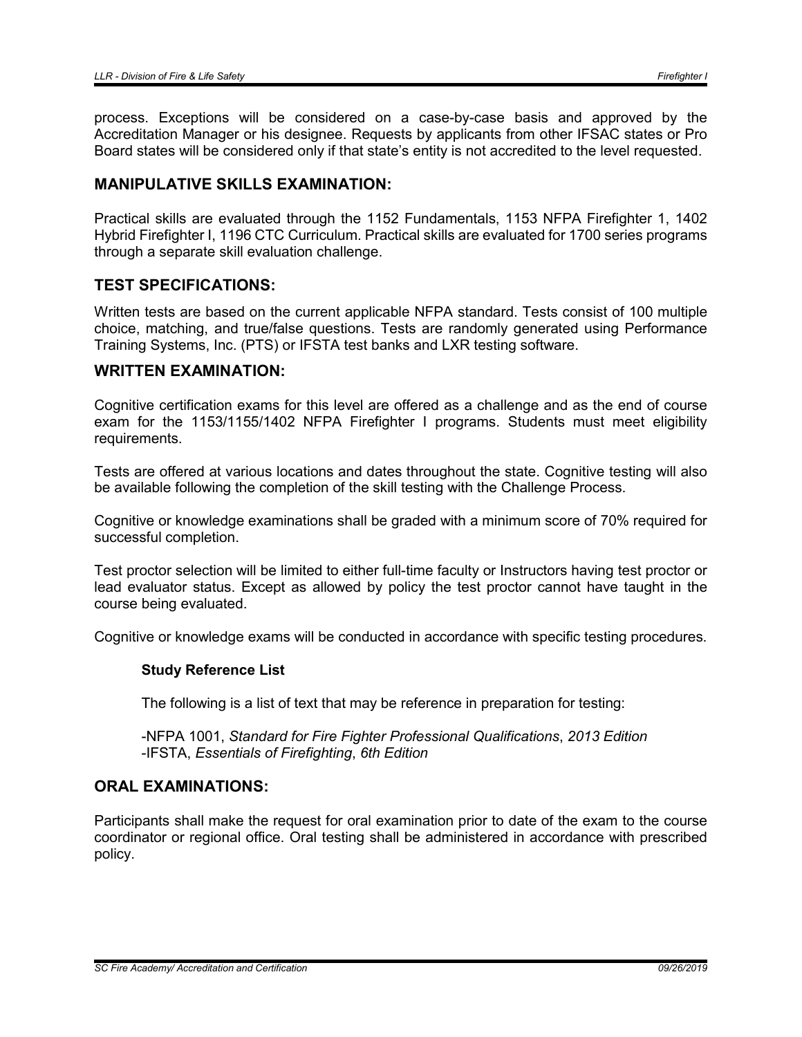process. Exceptions will be considered on a case-by-case basis and approved by the Accreditation Manager or his designee. Requests by applicants from other IFSAC states or Pro Board states will be considered only if that state's entity is not accredited to the level requested.

# MANIPULATIVE SKILLS EXAMINATION:

Practical skills are evaluated through the 1152 Fundamentals, 1153 NFPA Firefighter 1, 1402 Hybrid Firefighter I, 1196 CTC Curriculum. Practical skills are evaluated for 1700 series programs through a separate skill evaluation challenge.

# TEST SPECIFICATIONS:

Written tests are based on the current applicable NFPA standard. Tests consist of 100 multiple choice, matching, and true/false questions. Tests are randomly generated using Performance Training Systems, Inc. (PTS) or IFSTA test banks and LXR testing software.

#### WRITTEN EXAMINATION:

Cognitive certification exams for this level are offered as a challenge and as the end of course exam for the 1153/1155/1402 NFPA Firefighter I programs. Students must meet eligibility requirements.

Tests are offered at various locations and dates throughout the state. Cognitive testing will also be available following the completion of the skill testing with the Challenge Process.

Cognitive or knowledge examinations shall be graded with a minimum score of 70% required for successful completion.

Test proctor selection will be limited to either full-time faculty or Instructors having test proctor or lead evaluator status. Except as allowed by policy the test proctor cannot have taught in the course being evaluated.

Cognitive or knowledge exams will be conducted in accordance with specific testing procedures.

#### Study Reference List

The following is a list of text that may be reference in preparation for testing:

-NFPA 1001, *Standard for Fire Fighter Professional Qualifications*, *2013 Edition* -IFSTA, *Essentials of Firefighting*, *6th Edition* 

# ORAL EXAMINATIONS:

Participants shall make the request for oral examination prior to date of the exam to the course coordinator or regional office. Oral testing shall be administered in accordance with prescribed policy.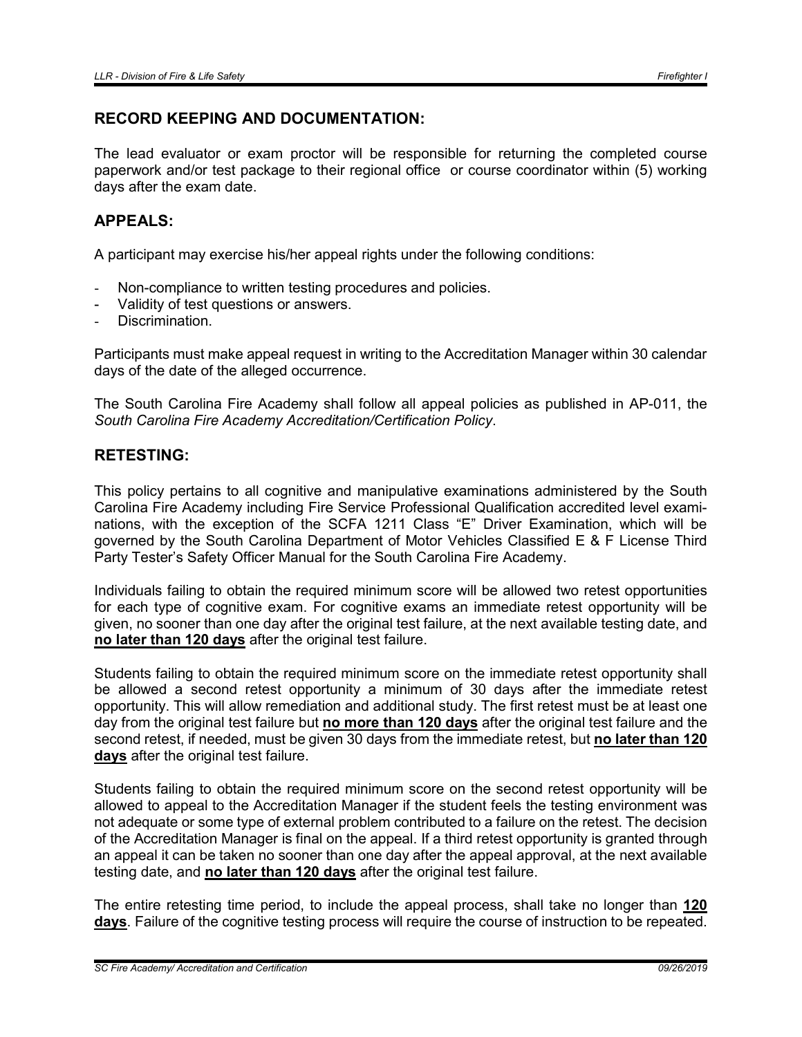# RECORD KEEPING AND DOCUMENTATION:

The lead evaluator or exam proctor will be responsible for returning the completed course paperwork and/or test package to their regional office or course coordinator within (5) working days after the exam date.

# APPEALS:

A participant may exercise his/her appeal rights under the following conditions:

- Non-compliance to written testing procedures and policies.
- Validity of test questions or answers.
- Discrimination.

Participants must make appeal request in writing to the Accreditation Manager within 30 calendar days of the date of the alleged occurrence.

The South Carolina Fire Academy shall follow all appeal policies as published in AP-011, the *South Carolina Fire Academy Accreditation/Certification Policy*.

#### RETESTING:

This policy pertains to all cognitive and manipulative examinations administered by the South Carolina Fire Academy including Fire Service Professional Qualification accredited level examinations, with the exception of the SCFA 1211 Class "E" Driver Examination, which will be governed by the South Carolina Department of Motor Vehicles Classified E & F License Third Party Tester's Safety Officer Manual for the South Carolina Fire Academy.

Individuals failing to obtain the required minimum score will be allowed two retest opportunities for each type of cognitive exam. For cognitive exams an immediate retest opportunity will be given, no sooner than one day after the original test failure, at the next available testing date, and no later than 120 days after the original test failure.

Students failing to obtain the required minimum score on the immediate retest opportunity shall be allowed a second retest opportunity a minimum of 30 days after the immediate retest opportunity. This will allow remediation and additional study. The first retest must be at least one day from the original test failure but no more than 120 days after the original test failure and the second retest, if needed, must be given 30 days from the immediate retest, but no later than 120 days after the original test failure.

Students failing to obtain the required minimum score on the second retest opportunity will be allowed to appeal to the Accreditation Manager if the student feels the testing environment was not adequate or some type of external problem contributed to a failure on the retest. The decision of the Accreditation Manager is final on the appeal. If a third retest opportunity is granted through an appeal it can be taken no sooner than one day after the appeal approval, at the next available testing date, and no later than 120 days after the original test failure.

The entire retesting time period, to include the appeal process, shall take no longer than 120 days. Failure of the cognitive testing process will require the course of instruction to be repeated.